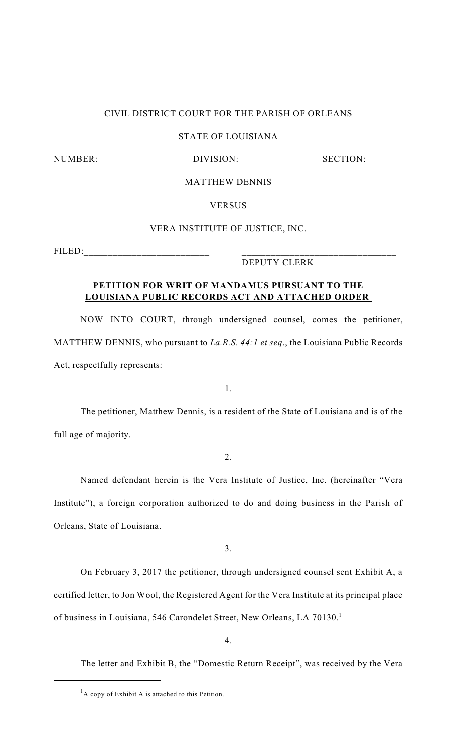# CIVIL DISTRICT COURT FOR THE PARISH OF ORLEANS

## STATE OF LOUISIANA

NUMBER: DIVISION: SECTION:

MATTHEW DENNIS

**VERSUS** 

# VERA INSTITUTE OF JUSTICE, INC.

FILED:

DEPUTY CLERK

# **PETITION FOR WRIT OF MANDAMUS PURSUANT TO THE LOUISIANA PUBLIC RECORDS ACT AND ATTACHED ORDER**

NOW INTO COURT, through undersigned counsel, comes the petitioner, MATTHEW DENNIS, who pursuant to *La.R.S. 44:1 et seq*., the Louisiana Public Records Act, respectfully represents:

1.

The petitioner, Matthew Dennis, is a resident of the State of Louisiana and is of the full age of majority.

2.

Named defendant herein is the Vera Institute of Justice, Inc. (hereinafter "Vera Institute"), a foreign corporation authorized to do and doing business in the Parish of Orleans, State of Louisiana.

3.

On February 3, 2017 the petitioner, through undersigned counsel sent Exhibit A, a certified letter, to Jon Wool, the Registered Agent for the Vera Institute at its principal place of business in Louisiana, 546 Carondelet Street, New Orleans, LA 70130. 1

4.

The letter and Exhibit B, the "Domestic Return Receipt", was received by the Vera

 ${}^{1}$ A copy of Exhibit A is attached to this Petition.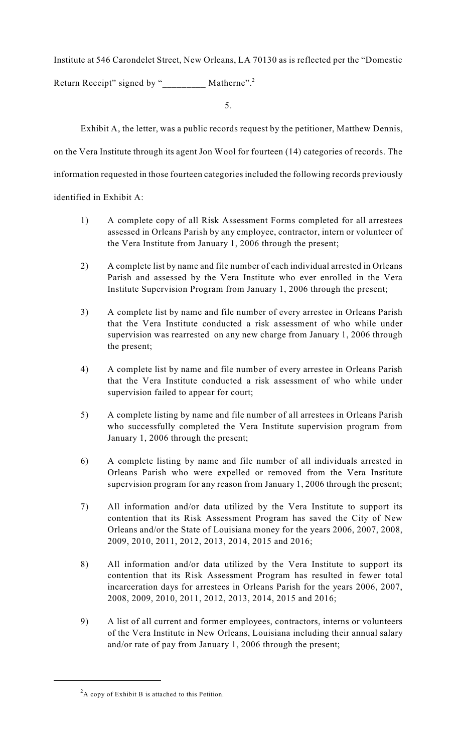Institute at 546 Carondelet Street, New Orleans, LA 70130 as is reflected per the "Domestic

Return Receipt" signed by "\_\_\_\_\_\_\_\_\_ Matherne".<sup>2</sup>

5.

Exhibit A, the letter, was a public records request by the petitioner, Matthew Dennis,

on the Vera Institute through its agent Jon Wool for fourteen (14) categories of records. The

information requested in those fourteen categories included the following records previously

identified in Exhibit A:

- 1) A complete copy of all Risk Assessment Forms completed for all arrestees assessed in Orleans Parish by any employee, contractor, intern or volunteer of the Vera Institute from January 1, 2006 through the present;
- 2) A complete list by name and file number of each individual arrested in Orleans Parish and assessed by the Vera Institute who ever enrolled in the Vera Institute Supervision Program from January 1, 2006 through the present;
- 3) A complete list by name and file number of every arrestee in Orleans Parish that the Vera Institute conducted a risk assessment of who while under supervision was rearrested on any new charge from January 1, 2006 through the present;
- 4) A complete list by name and file number of every arrestee in Orleans Parish that the Vera Institute conducted a risk assessment of who while under supervision failed to appear for court;
- 5) A complete listing by name and file number of all arrestees in Orleans Parish who successfully completed the Vera Institute supervision program from January 1, 2006 through the present;
- 6) A complete listing by name and file number of all individuals arrested in Orleans Parish who were expelled or removed from the Vera Institute supervision program for any reason from January 1, 2006 through the present;
- 7) All information and/or data utilized by the Vera Institute to support its contention that its Risk Assessment Program has saved the City of New Orleans and/or the State of Louisiana money for the years 2006, 2007, 2008, 2009, 2010, 2011, 2012, 2013, 2014, 2015 and 2016;
- 8) All information and/or data utilized by the Vera Institute to support its contention that its Risk Assessment Program has resulted in fewer total incarceration days for arrestees in Orleans Parish for the years 2006, 2007, 2008, 2009, 2010, 2011, 2012, 2013, 2014, 2015 and 2016;
- 9) A list of all current and former employees, contractors, interns or volunteers of the Vera Institute in New Orleans, Louisiana including their annual salary and/or rate of pay from January 1, 2006 through the present;

 $A$  copy of Exhibit B is attached to this Petition.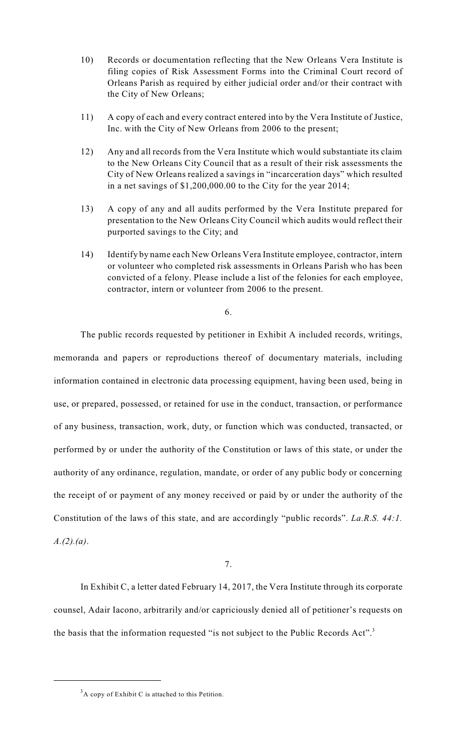- 10) Records or documentation reflecting that the New Orleans Vera Institute is filing copies of Risk Assessment Forms into the Criminal Court record of Orleans Parish as required by either judicial order and/or their contract with the City of New Orleans;
- 11) A copy of each and every contract entered into by the Vera Institute of Justice, Inc. with the City of New Orleans from 2006 to the present;
- 12) Any and all records from the Vera Institute which would substantiate its claim to the New Orleans City Council that as a result of their risk assessments the City of New Orleans realized a savings in "incarceration days" which resulted in a net savings of \$1,200,000.00 to the City for the year 2014;
- 13) A copy of any and all audits performed by the Vera Institute prepared for presentation to the New Orleans City Council which audits would reflect their purported savings to the City; and
- 14) Identify by name each New Orleans Vera Institute employee, contractor, intern or volunteer who completed risk assessments in Orleans Parish who has been convicted of a felony. Please include a list of the felonies for each employee, contractor, intern or volunteer from 2006 to the present.

6.

The public records requested by petitioner in Exhibit A included records, writings, memoranda and papers or reproductions thereof of documentary materials, including information contained in electronic data processing equipment, having been used, being in use, or prepared, possessed, or retained for use in the conduct, transaction, or performance of any business, transaction, work, duty, or function which was conducted, transacted, or performed by or under the authority of the Constitution or laws of this state, or under the authority of any ordinance, regulation, mandate, or order of any public body or concerning the receipt of or payment of any money received or paid by or under the authority of the Constitution of the laws of this state, and are accordingly "public records". *La.R.S. 44:1. A.(2).(a)*.

7.

In Exhibit C, a letter dated February 14, 2017, the Vera Institute through its corporate counsel, Adair Iacono, arbitrarily and/or capriciously denied all of petitioner's requests on the basis that the information requested "is not subject to the Public Records Act".<sup>3</sup>

 $A^3$ A copy of Exhibit C is attached to this Petition.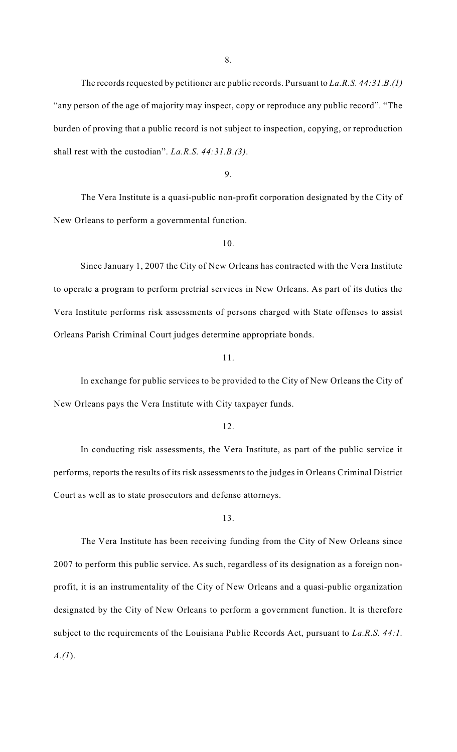The records requested by petitioner are public records. Pursuant to *La.R.S. 44:31.B.(1)* "any person of the age of majority may inspect, copy or reproduce any public record". "The burden of proving that a public record is not subject to inspection, copying, or reproduction shall rest with the custodian". *La.R.S. 44:31.B.(3)*.

9.

The Vera Institute is a quasi-public non-profit corporation designated by the City of New Orleans to perform a governmental function.

10.

Since January 1, 2007 the City of New Orleans has contracted with the Vera Institute to operate a program to perform pretrial services in New Orleans. As part of its duties the Vera Institute performs risk assessments of persons charged with State offenses to assist Orleans Parish Criminal Court judges determine appropriate bonds.

#### 11.

In exchange for public services to be provided to the City of New Orleans the City of New Orleans pays the Vera Institute with City taxpayer funds.

12.

In conducting risk assessments, the Vera Institute, as part of the public service it performs, reports the results of its risk assessments to the judges in Orleans Criminal District Court as well as to state prosecutors and defense attorneys.

13.

The Vera Institute has been receiving funding from the City of New Orleans since 2007 to perform this public service. As such, regardless of its designation as a foreign nonprofit, it is an instrumentality of the City of New Orleans and a quasi-public organization designated by the City of New Orleans to perform a government function. It is therefore subject to the requirements of the Louisiana Public Records Act, pursuant to *La.R.S. 44:1. A.(1*).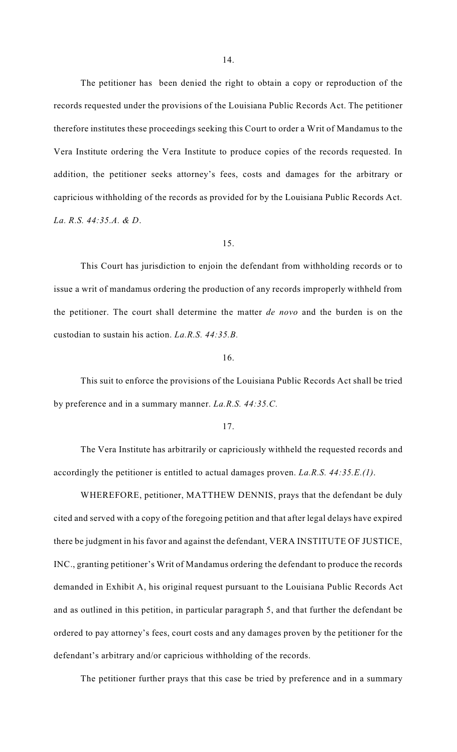The petitioner has been denied the right to obtain a copy or reproduction of the records requested under the provisions of the Louisiana Public Records Act. The petitioner therefore institutes these proceedings seeking this Court to order a Writ of Mandamus to the Vera Institute ordering the Vera Institute to produce copies of the records requested. In addition, the petitioner seeks attorney's fees, costs and damages for the arbitrary or capricious withholding of the records as provided for by the Louisiana Public Records Act. *La. R.S. 44:35.A. & D*.

#### 15.

This Court has jurisdiction to enjoin the defendant from withholding records or to issue a writ of mandamus ordering the production of any records improperly withheld from the petitioner. The court shall determine the matter *de novo* and the burden is on the custodian to sustain his action. *La.R.S. 44:35.B.*

#### 16.

This suit to enforce the provisions of the Louisiana Public Records Act shall be tried by preference and in a summary manner. *La.R.S. 44:35.C.*

The Vera Institute has arbitrarily or capriciously withheld the requested records and accordingly the petitioner is entitled to actual damages proven. *La.R.S. 44:35.E.(1)*.

WHEREFORE, petitioner, MATTHEW DENNIS, prays that the defendant be duly cited and served with a copy of the foregoing petition and that after legal delays have expired there be judgment in his favor and against the defendant, VERA INSTITUTE OF JUSTICE, INC., granting petitioner's Writ of Mandamus ordering the defendant to produce the records demanded in Exhibit A, his original request pursuant to the Louisiana Public Records Act and as outlined in this petition, in particular paragraph 5, and that further the defendant be ordered to pay attorney's fees, court costs and any damages proven by the petitioner for the defendant's arbitrary and/or capricious withholding of the records.

The petitioner further prays that this case be tried by preference and in a summary

<sup>17.</sup>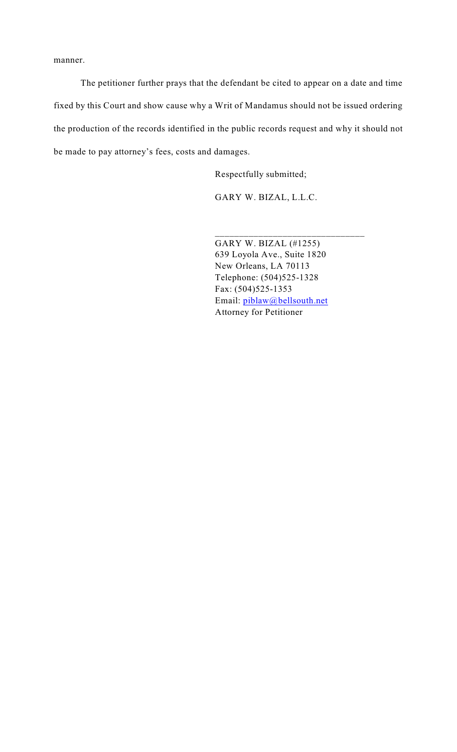manner.

The petitioner further prays that the defendant be cited to appear on a date and time fixed by this Court and show cause why a Writ of Mandamus should not be issued ordering the production of the records identified in the public records request and why it should not be made to pay attorney's fees, costs and damages.

Respectfully submitted;

GARY W. BIZAL, L.L.C.

GARY W. BIZAL (#1255) 639 Loyola Ave., Suite 1820 New Orleans, LA 70113 Telephone: (504)525-1328 Fax: (504)525-1353 Email: [piblaw@bellsouth.net](mailto:piblaw@bellsouth.net) Attorney for Petitioner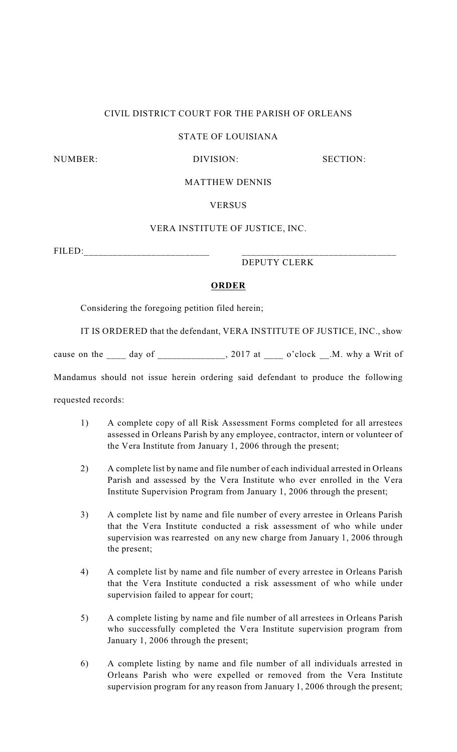# CIVIL DISTRICT COURT FOR THE PARISH OF ORLEANS

## STATE OF LOUISIANA

NUMBER: DIVISION: SECTION:

#### MATTHEW DENNIS

#### **VERSUS**

## VERA INSTITUTE OF JUSTICE, INC.

FILED:

DEPUTY CLERK

#### **ORDER**

Considering the foregoing petition filed herein;

IT IS ORDERED that the defendant, VERA INSTITUTE OF JUSTICE, INC., show

cause on the day of \_\_\_\_\_\_\_\_\_\_, 2017 at \_\_\_\_ o'clock \_\_.M. why a Writ of

Mandamus should not issue herein ordering said defendant to produce the following

requested records:

- 1) A complete copy of all Risk Assessment Forms completed for all arrestees assessed in Orleans Parish by any employee, contractor, intern or volunteer of the Vera Institute from January 1, 2006 through the present;
- 2) A complete list by name and file number of each individual arrested in Orleans Parish and assessed by the Vera Institute who ever enrolled in the Vera Institute Supervision Program from January 1, 2006 through the present;
- 3) A complete list by name and file number of every arrestee in Orleans Parish that the Vera Institute conducted a risk assessment of who while under supervision was rearrested on any new charge from January 1, 2006 through the present;
- 4) A complete list by name and file number of every arrestee in Orleans Parish that the Vera Institute conducted a risk assessment of who while under supervision failed to appear for court;
- 5) A complete listing by name and file number of all arrestees in Orleans Parish who successfully completed the Vera Institute supervision program from January 1, 2006 through the present;
- 6) A complete listing by name and file number of all individuals arrested in Orleans Parish who were expelled or removed from the Vera Institute supervision program for any reason from January 1, 2006 through the present;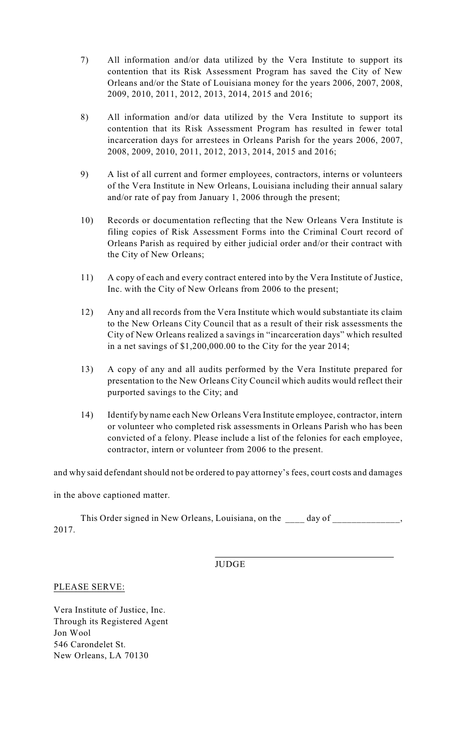- 7) All information and/or data utilized by the Vera Institute to support its contention that its Risk Assessment Program has saved the City of New Orleans and/or the State of Louisiana money for the years 2006, 2007, 2008, 2009, 2010, 2011, 2012, 2013, 2014, 2015 and 2016;
- 8) All information and/or data utilized by the Vera Institute to support its contention that its Risk Assessment Program has resulted in fewer total incarceration days for arrestees in Orleans Parish for the years 2006, 2007, 2008, 2009, 2010, 2011, 2012, 2013, 2014, 2015 and 2016;
- 9) A list of all current and former employees, contractors, interns or volunteers of the Vera Institute in New Orleans, Louisiana including their annual salary and/or rate of pay from January 1, 2006 through the present;
- 10) Records or documentation reflecting that the New Orleans Vera Institute is filing copies of Risk Assessment Forms into the Criminal Court record of Orleans Parish as required by either judicial order and/or their contract with the City of New Orleans;
- 11) A copy of each and every contract entered into by the Vera Institute of Justice, Inc. with the City of New Orleans from 2006 to the present;
- 12) Any and all records from the Vera Institute which would substantiate its claim to the New Orleans City Council that as a result of their risk assessments the City of New Orleans realized a savings in "incarceration days" which resulted in a net savings of \$1,200,000.00 to the City for the year 2014;
- 13) A copy of any and all audits performed by the Vera Institute prepared for presentation to the New Orleans City Council which audits would reflect their purported savings to the City; and
- 14) Identify by name each New Orleans Vera Institute employee, contractor, intern or volunteer who completed risk assessments in Orleans Parish who has been convicted of a felony. Please include a list of the felonies for each employee, contractor, intern or volunteer from 2006 to the present.

and why said defendant should not be ordered to pay attorney's fees, court costs and damages

in the above captioned matter.

This Order signed in New Orleans, Louisiana, on the \_\_\_\_ day of \_\_\_\_\_\_\_\_\_\_ 2017.

JUDGE

 $\mathcal{L}_\text{max}$  and  $\mathcal{L}_\text{max}$  and  $\mathcal{L}_\text{max}$  and  $\mathcal{L}_\text{max}$ 

## PLEASE SERVE:

Vera Institute of Justice, Inc. Through its Registered Agent Jon Wool 546 Carondelet St. New Orleans, LA 70130